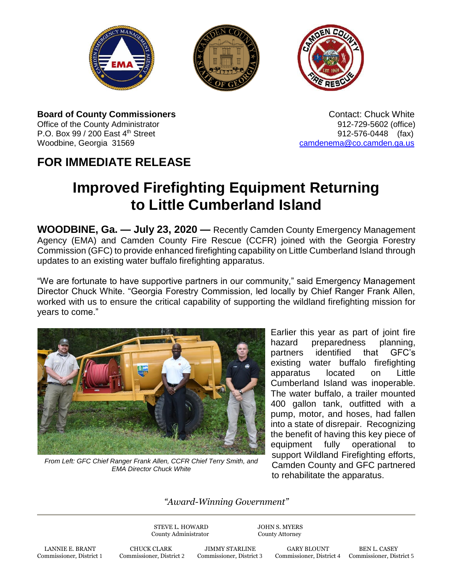





**Board of County Commissioners Contact: Chuck White Contact: Chuck White Contact: Chuck White** Office of the County Administrator 912-729-5602 (office) P.O. Box 99 / 200 East 4<sup>th</sup> Street 912-576-0448 (fax) Woodbine, Georgia 31569 cambia 31569 [camdenema@co.camden.ga.us](mailto:camdenema@co.camden.ga.us)

## **FOR IMMEDIATE RELEASE**

## **Improved Firefighting Equipment Returning to Little Cumberland Island**

**WOODBINE, Ga. — July 23, 2020 —** Recently Camden County Emergency Management Agency (EMA) and Camden County Fire Rescue (CCFR) joined with the Georgia Forestry Commission (GFC) to provide enhanced firefighting capability on Little Cumberland Island through updates to an existing water buffalo firefighting apparatus.

"We are fortunate to have supportive partners in our community," said Emergency Management Director Chuck White. "Georgia Forestry Commission, led locally by Chief Ranger Frank Allen, worked with us to ensure the critical capability of supporting the wildland firefighting mission for years to come."



*From Left: GFC Chief Ranger Frank Allen, CCFR Chief Terry Smith, and EMA Director Chuck White*

Earlier this year as part of joint fire hazard preparedness planning. partners identified that GFC's existing water buffalo firefighting apparatus located on Little Cumberland Island was inoperable. The water buffalo, a trailer mounted 400 gallon tank, outfitted with a pump, motor, and hoses, had fallen into a state of disrepair. Recognizing the benefit of having this key piece of equipment fully operational to support Wildland Firefighting efforts, Camden County and GFC partnered to rehabilitate the apparatus.

## *"Award-Winning Government"*

STEVE L. HOWARD JOHN S. MYERS County Administrator County Attorney

LANNIE E. BRANT CHUCK CLARK JIMMY STARLINE GARY BLOUNT BEN L. CASEY Commissioner, District 1 Commissioner, District 2 Commissioner, District 3 Commissioner, District 4 Commissioner, District 1

Commissioner, District 4 Commissioner, District 5